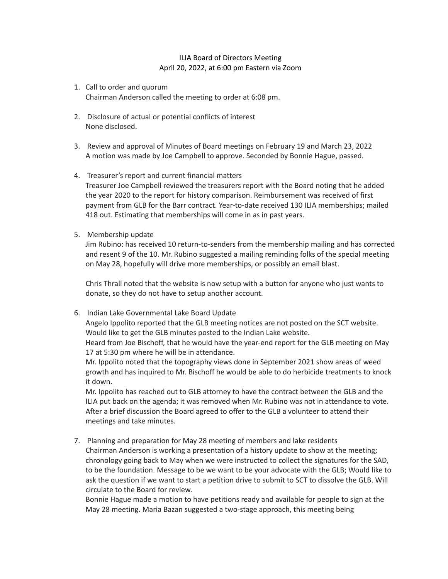## ILIA Board of Directors Meeting April 20, 2022, at 6:00 pm Eastern via Zoom

- 1. Call to order and quorum Chairman Anderson called the meeting to order at 6:08 pm.
- 2. Disclosure of actual or potential conflicts of interest None disclosed.
- 3. Review and approval of Minutes of Board meetings on February 19 and March 23, 2022 A motion was made by Joe Campbell to approve. Seconded by Bonnie Hague, passed.
- 4. Treasurer's report and current financial matters

Treasurer Joe Campbell reviewed the treasurers report with the Board noting that he added the year 2020 to the report for history comparison. Reimbursement was received of first payment from GLB for the Barr contract. Year-to-date received 130 ILIA memberships; mailed 418 out. Estimating that memberships will come in as in past years.

5. Membership update

Jim Rubino: has received 10 return-to-senders from the membership mailing and has corrected and resent 9 of the 10. Mr. Rubino suggested a mailing reminding folks of the special meeting on May 28, hopefully will drive more memberships, or possibly an email blast.

Chris Thrall noted that the website is now setup with a button for anyone who just wants to donate, so they do not have to setup another account.

6. Indian Lake Governmental Lake Board Update

Angelo Ippolito reported that the GLB meeting notices are not posted on the SCT website. Would like to get the GLB minutes posted to the Indian Lake website.

Heard from Joe Bischoff, that he would have the year-end report for the GLB meeting on May 17 at 5:30 pm where he will be in attendance.

Mr. Ippolito noted that the topography views done in September 2021 show areas of weed growth and has inquired to Mr. Bischoff he would be able to do herbicide treatments to knock it down.

Mr. Ippolito has reached out to GLB attorney to have the contract between the GLB and the ILIA put back on the agenda; it was removed when Mr. Rubino was not in attendance to vote. After a brief discussion the Board agreed to offer to the GLB a volunteer to attend their meetings and take minutes.

7. Planning and preparation for May 28 meeting of members and lake residents Chairman Anderson is working a presentation of a history update to show at the meeting; chronology going back to May when we were instructed to collect the signatures for the SAD, to be the foundation. Message to be we want to be your advocate with the GLB; Would like to ask the question if we want to start a petition drive to submit to SCT to dissolve the GLB. Will circulate to the Board for review.

Bonnie Hague made a motion to have petitions ready and available for people to sign at the May 28 meeting. Maria Bazan suggested a two-stage approach, this meeting being